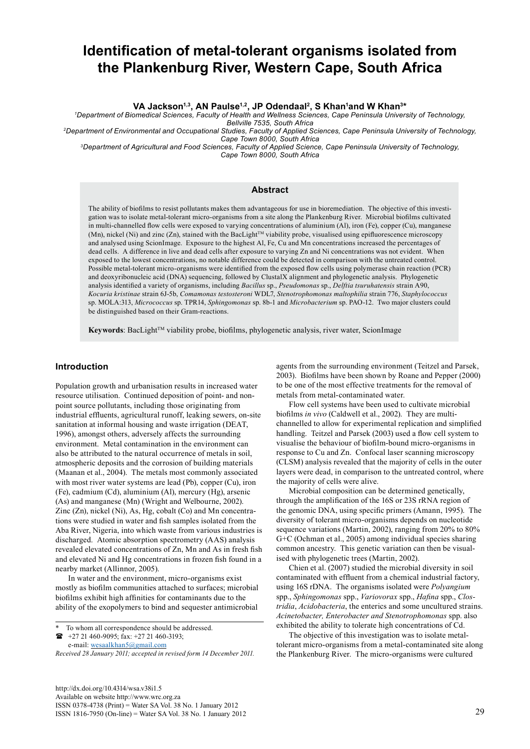# **Identification of metal-tolerant organisms isolated from the Plankenburg River, Western Cape, South Africa**

**VA Jackson1,3, AN Paulse1,2, JP Odendaal2, S Khan<sup>1</sup> and W Khan3\***

*1 Department of Biomedical Sciences, Faculty of Health and Wellness Sciences, Cape Peninsula University of Technology, Bellville 7535, South Africa*

*2Department of Environmental and Occupational Studies, Faculty of Applied Sciences, Cape Peninsula University of Technology, Cape Town 8000, South Africa*

*3Department of Agricultural and Food Sciences, Faculty of Applied Science, Cape Peninsula University of Technology, Cape Town 8000, South Africa*

# **Abstract**

The ability of biofilms to resist pollutants makes them advantageous for use in bioremediation. The objective of this investigation was to isolate metal-tolerant micro-organisms from a site along the Plankenburg River. Microbial biofilms cultivated in multi-channelled flow cells were exposed to varying concentrations of aluminium (Al), iron (Fe), copper (Cu), manganese  $(Mn)$ , nickel (Ni) and zinc (Zn), stained with the BacLight<sup>TM</sup> viability probe, visualised using epifluorescence microscopy and analysed using ScionImage. Exposure to the highest Al, Fe, Cu and Mn concentrations increased the percentages of dead cells. A difference in live and dead cells after exposure to varying Zn and Ni concentrations was not evident. When exposed to the lowest concentrations, no notable difference could be detected in comparison with the untreated control. Possible metal-tolerant micro-organisms were identified from the exposed flow cells using polymerase chain reaction (PCR) and deoxyribonucleic acid (DNA) sequencing, followed by ClustalX alignment and phylogenetic analysis. Phylogenetic analysis identified a variety of organisms, including *Bacillus* sp., *Pseudomonas* sp., *Delftia tsuruhatensis* strain A90, *Kocuria kristinae* strain 6J-5b, *Comamonas testosteroni* WDL7, *Stenotrophomonas maltophilia* strain 776, *Staphylococcus* sp. MOLA:313, *Micrococcus* sp. TPR14, *Sphingomonas* sp. 8b-1 and *Microbacterium* sp. PAO-12. Two major clusters could be distinguished based on their Gram-reactions.

Keywords: BacLight<sup>TM</sup> viability probe, biofilms, phylogenetic analysis, river water, ScionImage

#### **Introduction**

Population growth and urbanisation results in increased water resource utilisation. Continued deposition of point- and nonpoint source pollutants, including those originating from industrial [effluents,](http://www.ngo.grida.no/soesa/nsoer/general/glossary.htm#effluent) agricultural [runoff,](http://www.ngo.grida.no/soesa/nsoer/general/glossary.htm#runoff) leaking sewers, on-site sanitation at informal housing and waste irrigation (DEAT, 1996), amongst others, adversely affects the surrounding environment. Metal contamination in the environment can also be attributed to the natural occurrence of metals in soil, atmospheric deposits and the corrosion of building materials (Maanan et al., 2004). The metals most commonly associated with most river water systems are lead (Pb), copper (Cu), iron (Fe), cadmium (Cd), aluminium (Al), mercury (Hg), arsenic (As) and manganese (Mn) (Wright and Welbourne, 2002). Zinc (Zn), nickel (Ni), As, Hg, cobalt (Co) and Mn concentrations were studied in water and fish samples isolated from the Aba River, Nigeria, into which waste from various industries is discharged. Atomic absorption spectrometry (AAS) analysis revealed elevated concentrations of Zn, Mn and As in fresh fish and elevated Ni and Hg concentrations in frozen fish found in a nearby market (Allinnor, 2005).

In water and the environment, micro-organisms exist mostly as biofilm communities attached to surfaces; microbial biofilms exhibit high affinities for contaminants due to the ability of the exopolymers to bind and sequester antimicrobial

 $\bullet$  +27 21 460-9095; fax: +27 21 460-3193; e-mail: [wesaalkhan5@gmail.com](mailto:wesaalkhan5@gmail.com)

[http://dx.doi.org/10.4314/wsa.v38i1.5](http://dx.doi.org/10.4314/wsa.v37i4.18) Available on website http://www.wrc.org.za ISSN 0378-4738 (Print) = Water SA Vol. 38 No. 1 January 2012 ISSN 1816-7950 (On-line) = Water SA Vol. 38 No. 1 January 2012 29

agents from the surrounding environment (Teitzel and Parsek, 2003). Biofilms have been shown by Roane and Pepper (2000) to be one of the most effective treatments for the removal of metals from metal-contaminated water.

Flow cell systems have been used to cultivate microbial biofilms *in vivo* (Caldwell et al., 2002). They are multichannelled to allow for experimental replication and simplified handling. Teitzel and Parsek (2003) used a flow cell system to visualise the behaviour of biofilm-bound micro-organisms in response to Cu and Zn. Confocal laser scanning microscopy (CLSM) analysis revealed that the majority of cells in the outer layers were dead, in comparison to the untreated control, where the majority of cells were alive.

Microbial composition can be determined genetically, through the amplification of the 16S or 23S rRNA region of the genomic DNA, using specific primers (Amann, 1995). The diversity of tolerant micro-organisms depends on nucleotide sequence variations (Martin, 2002), ranging from 20% to 80% G+C (Ochman et al., 2005) among individual species sharing common ancestry. This genetic variation can then be visualised with phylogenetic trees (Martin, 2002).

Chien et al. (2007) studied the microbial diversity in soil contaminated with effluent from a chemical industrial factory, using 16S rDNA. The organisms isolated were *Polyangium*  spp., *Sphingomonas* spp., *Variovorax* spp., *Hafina* spp., *Clostridia*, *Acidobacteria*, the enterics and some uncultured strains. *Acinetobacter, Enterobacter and Stenotrophomonas* spp. also exhibited the ability to tolerate high concentrations of Cd.

The objective of this investigation was to isolate metaltolerant micro-organisms from a metal-contaminated site along the Plankenburg River. The micro-organisms were cultured

To whom all correspondence should be addressed.

*Received 28 January 2011; accepted in revised form 14 December 2011.*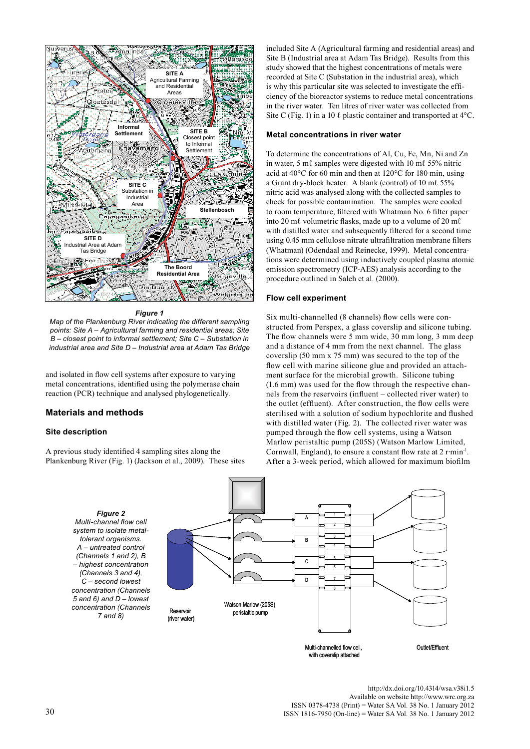

*Figure 1*

*Map of the Plankenburg River indicating the different sampling points: Site A – Agricultural farming and residential areas; Site B – closest point to informal settlement; Site C – Substation in industrial area and Site D – Industrial area at Adam Tas Bridge*

and isolated in flow cell systems after exposure to varying metal concentrations, identified using the polymerase chain reaction (PCR) technique and analysed phylogenetically.

# **Materials and methods**

#### **Site description**

A previous study identified 4 sampling sites along the Plankenburg River (Fig. 1) (Jackson et al., 2009). These sites

included Site A (Agricultural farming and residential areas) and Site B (Industrial area at Adam Tas Bridge). Results from this study showed that the highest concentrations of metals were recorded at Site C (Substation in the industrial area), which is why this particular site was selected to investigate the efficiency of the bioreactor systems to reduce metal concentrations in the river water. Ten litres of river water was collected from Site C (Fig. 1) in a 10  $\ell$  plastic container and transported at 4 $\rm ^{o}C$ .

#### **Metal concentrations in river water**

To determine the concentrations of Al, Cu, Fe, Mn, Ni and Zn in water, 5 mℓ samples were digested with 10 mℓ 55% nitric acid at 40°C for 60 min and then at 120°C for 180 min, using a Grant dry-block heater. A blank (control) of 10 mℓ 55% nitric acid was analysed along with the collected samples to check for possible contamination. The samples were cooled to room temperature, filtered with Whatman No. 6 filter paper into 20 mℓ volumetric flasks, made up to a volume of 20 mℓ with distilled water and subsequently filtered for a second time using 0.45 mm cellulose nitrate ultrafiltration membrane filters (Whatman) (Odendaal and Reinecke, 1999). Metal concentrations were determined using inductively coupled plasma atomic emission spectrometry (ICP-AES) analysis according to the procedure outlined in Saleh et al. (2000).

#### **Flow cell experiment**

Six multi-channelled (8 channels) flow cells were constructed from Perspex, a glass coverslip and silicone tubing. The flow channels were 5 mm wide, 30 mm long, 3 mm deep and a distance of 4 mm from the next channel. The glass coverslip (50 mm x 75 mm) was secured to the top of the flow cell with marine silicone glue and provided an attachment surface for the microbial growth. Silicone tubing (1.6 mm) was used for the flow through the respective channels from the reservoirs (influent – collected river water) to the outlet (effluent). After construction, the flow cells were sterilised with a solution of sodium hypochlorite and flushed with distilled water (Fig. 2). The collected river water was pumped through the flow cell systems, using a Watson Marlow peristaltic pump (205S) (Watson Marlow Limited, Cornwall, England), to ensure a constant flow rate at 2 r∙min-1. After a 3-week period, which allowed for maximum biofilm

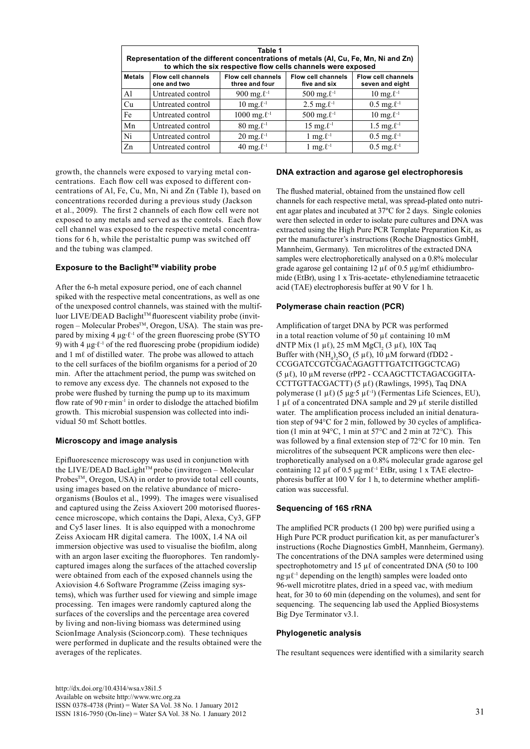| Table 1<br>Representation of the different concentrations of metals (AI, Cu, Fe, Mn, Ni and Zn)<br>to which the six respective flow cells channels were exposed |                                          |                                             |                                           |                                              |  |  |  |
|-----------------------------------------------------------------------------------------------------------------------------------------------------------------|------------------------------------------|---------------------------------------------|-------------------------------------------|----------------------------------------------|--|--|--|
| <b>Metals</b>                                                                                                                                                   | <b>Flow cell channels</b><br>one and two | <b>Flow cell channels</b><br>three and four | <b>Flow cell channels</b><br>five and six | <b>Flow cell channels</b><br>seven and eight |  |  |  |
| A <sup>1</sup>                                                                                                                                                  | Untreated control                        | 900 mg. $\ell^{-1}$                         | 500 mg. $\ell^{-1}$                       | 10 mg. $\ell^{-1}$                           |  |  |  |
| Cu                                                                                                                                                              | Untreated control                        | 10 mg. $\ell^{-1}$                          | 2.5 mg. $\ell^{-1}$                       | $0.5 \text{ mg} \cdot \ell^{-1}$             |  |  |  |
| Fe                                                                                                                                                              | Untreated control                        | 1000 mg. $\ell$ <sup>-1</sup>               | 500 mg. $\ell$ <sup>-1</sup>              | 10 mg. $\ell^{-1}$                           |  |  |  |
| Mn                                                                                                                                                              | Untreated control                        | $80 \text{ mg} \cdot \ell^{-1}$             | 15 mg. $\ell^{-1}$                        | 1.5 mg. $\ell^{-1}$                          |  |  |  |
| Ni                                                                                                                                                              | Untreated control                        | $20 \text{ mg} \cdot \ell^{-1}$             | 1 mg. $\ell$ <sup>-1</sup>                | $0.5 \text{ mg} \cdot \ell^{-1}$             |  |  |  |
| $Z_{n}$                                                                                                                                                         | Untreated control                        | 40 mg. $\ell^{-1}$                          | 1 mg. $\ell$ <sup>-1</sup>                | $0.5$ mg. $\ell^{-1}$                        |  |  |  |

growth, the channels were exposed to varying metal concentrations. Each flow cell was exposed to different concentrations of Al, Fe, Cu, Mn, Ni and Zn (Table 1), based on concentrations recorded during a previous study (Jackson et al., 2009). The first 2 channels of each flow cell were not exposed to any metals and served as the controls. Each flow cell channel was exposed to the respective metal concentrations for 6 h, while the peristaltic pump was switched off and the tubing was clamped.

# **Exposure to the BaclightTM viability probe**

After the 6-h metal exposure period, one of each channel spiked with the respective metal concentrations, as well as one of the unexposed control channels, was stained with the multifluor LIVE/DEAD Baclight $TM$  fluorescent viability probe (invitrogen – Molecular ProbesTM, Oregon, USA). The stain was prepared by mixing 4 µg∙ℓ-1 of the green fluorescing probe (SYTO 9) with 4  $\mu$ g⋅ℓ<sup>-1</sup> of the red fluorescing probe (propidium iodide) and 1 mℓ of distilled water. The probe was allowed to attach to the cell surfaces of the biofilm organisms for a period of 20 min. After the attachment period, the pump was switched on to remove any excess dye. The channels not exposed to the probe were flushed by turning the pump up to its maximum flow rate of 90 r∙min-1 in order to dislodge the attached biofilm growth. This microbial suspension was collected into individual 50 mℓ Schott bottles.

# **Microscopy and image analysis**

Epifluorescence microscopy was used in conjunction with the LIVE/DEAD BacLight™ probe (invitrogen – Molecular Probes<sup>TM</sup>, Oregon, USA) in order to provide total cell counts, using images based on the relative abundance of microorganisms (Boulos et al., 1999). The images were visualised and captured using the Zeiss Axiovert 200 motorised fluorescence microscope, which contains the Dapi, Alexa, Cy3, GFP and Cy5 laser lines. It is also equipped with a monochrome Zeiss Axiocam HR digital camera. The 100X, 1.4 NA oil immersion objective was used to visualise the biofilm, along with an argon laser exciting the fluorophores. Ten randomlycaptured images along the surfaces of the attached coverslip were obtained from each of the exposed channels using the Axiovision 4.6 Software Programme (Zeiss imaging systems), which was further used for viewing and simple image processing. Ten images were randomly captured along the surfaces of the coverslips and the percentage area covered by living and non-living biomass was determined using ScionImage Analysis (Scioncorp.com). These techniques were performed in duplicate and the results obtained were the averages of the replicates.

# **DNA extraction and agarose gel electrophoresis**

The flushed material, obtained from the unstained flow cell channels for each respective metal, was spread-plated onto nutrient agar plates and incubated at 37ºC for 2 days. Single colonies were then selected in order to isolate pure cultures and DNA was extracted using the High Pure PCR Template Preparation Kit, as per the manufacturer's instructions (Roche Diagnostics GmbH, Mannheim, Germany). Ten microlitres of the extracted DNA samples were electrophoretically analysed on a 0.8% molecular grade agarose gel containing 12 µℓ of 0.5 µg/mℓ ethidiumbromide (EtBr), using 1 x Tris-acetate- ethylenediamine tetraacetic acid (TAE) electrophoresis buffer at 90 V for 1 h.

# **Polymerase chain reaction (PCR)**

Amplification of target DNA by PCR was performed in a total reaction volume of 50  $\mu\ell$  containing 10 mM dNTP Mix (1 μ $\ell$ ), 25 mM MgCl<sub>2</sub> (3 μ $\ell$ ), 10X Taq Buffer with  $(NH_4)_2SO_4$  (5  $\mu$ l), 10  $\mu$ M forward (fDD2 -CCGGATCCGTCGACAGAGTTTGATCITGGCTCAG) (5 µℓ), 10 µM reverse (rPP2 - CCAAGCTTCTAGACGGITA-CCTTGTTACGACTT) (5 μl) (Rawlings, 1995), Taq DNA polymerase (1 μℓ) (5 μg⋅5 μℓ<sup>-1</sup>) (Fermentas Life Sciences, EU), 1 µℓ of a concentrated DNA sample and 29 µℓ sterile distilled water. The amplification process included an initial denaturation step of 94°C for 2 min, followed by 30 cycles of amplification (1 min at 94°C, 1 min at 57°C and 2 min at 72°C). This was followed by a final extension step of 72°C for 10 min. Ten microlitres of the subsequent PCR amplicons were then electrophoretically analysed on a 0.8% molecular grade agarose gel containing 12  $\mu\ell$  of 0.5  $\mu$ g⋅m $\ell$ <sup>-1</sup> EtBr, using 1 x TAE electrophoresis buffer at 100 V for 1 h, to determine whether amplification was successful.

# **Sequencing of 16S rRNA**

The amplified PCR products (1 200 bp) were purified using a High Pure PCR product purification kit, as per manufacturer's instructions (Roche Diagnostics GmbH, Mannheim, Germany). The concentrations of the DNA samples were determined using spectrophotometry and 15 μ $\ell$  of concentrated DNA (50 to 100 ng∙µℓ-1 depending on the length) samples were loaded onto 96-well microtitre plates, dried in a speed vac, with medium heat, for 30 to 60 min (depending on the volumes), and sent for sequencing. The sequencing lab used the Applied Biosystems Big Dye Terminator v3.1.

#### **Phylogenetic analysis**

The resultant sequences were identified with a similarity search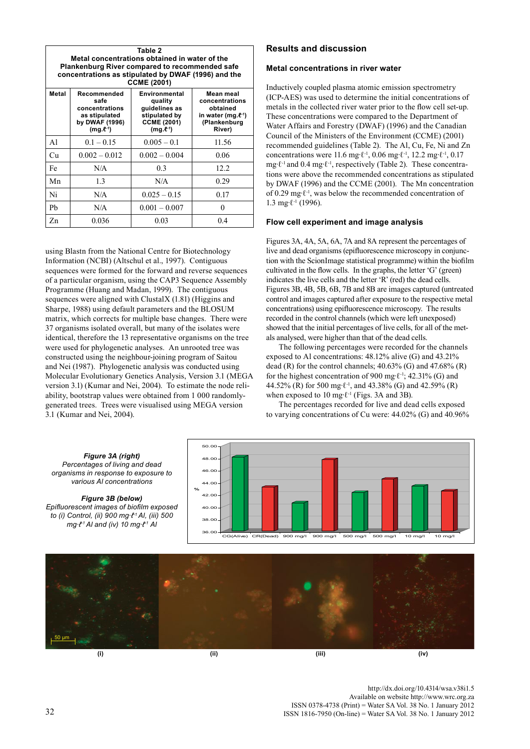| Table 2<br>Metal concentrations obtained in water of the<br><b>Plankenburg River compared to recommended safe</b><br>concentrations as stipulated by DWAF (1996) and the<br><b>CCME (2001)</b> |                                                                                              |                                                                                                      |                                                                                                 |  |  |  |
|------------------------------------------------------------------------------------------------------------------------------------------------------------------------------------------------|----------------------------------------------------------------------------------------------|------------------------------------------------------------------------------------------------------|-------------------------------------------------------------------------------------------------|--|--|--|
| Metal                                                                                                                                                                                          | Recommended<br>safe<br>concentrations<br>as stipulated<br>by DWAF (1996)<br>$(mg.\ell^{-1})$ | Environmental<br>quality<br>quidelines as<br>stipulated by<br><b>CCME (2001)</b><br>$(mg.\ell^{-1})$ | Mean meal<br>concentrations<br>obtained<br>in water (mg. $e^{\eta}$ )<br>(Plankenburg<br>River) |  |  |  |
| A1                                                                                                                                                                                             | $0.1 - 0.15$                                                                                 | $0.005 - 0.1$                                                                                        | 11.56                                                                                           |  |  |  |
| Cu                                                                                                                                                                                             | $0.002 - 0.012$                                                                              | $0.002 - 0.004$                                                                                      | 0.06                                                                                            |  |  |  |
| Fe                                                                                                                                                                                             | N/A                                                                                          | 0.3                                                                                                  | 12.2                                                                                            |  |  |  |
| Mn                                                                                                                                                                                             | 1.3                                                                                          | N/A                                                                                                  | 0.29                                                                                            |  |  |  |
| Ni                                                                                                                                                                                             | N/A                                                                                          | $0.025 - 0.15$                                                                                       | 0.17                                                                                            |  |  |  |
| Pb                                                                                                                                                                                             | N/A                                                                                          | $0.001 - 0.007$                                                                                      | 0                                                                                               |  |  |  |
| Zn                                                                                                                                                                                             | 0.036                                                                                        | 0.03                                                                                                 | 0.4                                                                                             |  |  |  |

using Blastn from the National Centre for Biotechnology Information (NCBI) (Altschul et al., 1997). Contiguous sequences were formed for the forward and reverse sequences of a particular organism, using the CAP3 Sequence Assembly Programme (Huang and Madan, 1999). The contiguous sequences were aligned with ClustalX (1.81) (Higgins and Sharpe, 1988) using default parameters and the BLOSUM matrix, which corrects for multiple base changes. There were 37 organisms isolated overall, but many of the isolates were identical, therefore the 13 representative organisms on the tree were used for phylogenetic analyses. An unrooted tree was constructed using the neighbour-joining program of Saitou and Nei (1987). Phylogenetic analysis was conducted using Molecular Evolutionary Genetics Analysis, Version 3.1 (MEGA version 3.1) (Kumar and Nei, 2004). To estimate the node reliability, bootstrap values were obtained from 1 000 randomlygenerated trees. Trees were visualised using MEGA version 3.1 (Kumar and Nei, 2004).

# **Results and discussion**

#### **Metal concentrations in river water**

Inductively coupled plasma atomic emission spectrometry (ICP-AES) was used to determine the initial concentrations of metals in the collected river water prior to the flow cell set-up. These concentrations were compared to the Department of Water Affairs and Forestry (DWAF) (1996) and the Canadian Council of the Ministers of the Environment (CCME) (2001) recommended guidelines (Table 2). The Al, Cu, Fe, Ni and Zn concentrations were 11.6 mg∙ℓ-1, 0.06 mg∙ℓ-1, 12.2 mg∙ℓ-1, 0.17 mg∙ℓ-1 and 0.4 mg∙ℓ-1, respectively (Table 2). These concentrations were above the recommended concentrations as stipulated by DWAF (1996) and the CCME (2001). The Mn concentration of 0.29 mg∙ℓ-1, was below the recommended concentration of 1.3 mg∙ℓ-1 (1996).

## **Flow cell experiment and image analysis**

Figures 3A, 4A, 5A, 6A, 7A and 8A represent the percentages of live and dead organisms (epifluorescence microscopy in conjunction with the ScionImage statistical programme) within the biofilm cultivated in the flow cells. In the graphs, the letter 'G' (green) indicates the live cells and the letter 'R' (red) the dead cells. Figures 3B, 4B, 5B, 6B, 7B and 8B are images captured (untreated control and images captured after exposure to the respective metal concentrations) using epifluorescence microscopy. The results recorded in the control channels (which were left unexposed) showed that the initial percentages of live cells, for all of the metals analysed, were higher than that of the dead cells.

The following percentages were recorded for the channels exposed to Al concentrations: 48.12% alive (G) and 43.21% dead (R) for the control channels;  $40.63\%$  (G) and  $47.68\%$  (R) for the highest concentration of 900 mg∙ℓ-1; 42.31% (G) and 44.52% (R) for 500 mg∙ℓ-1, and 43.38% (G) and 42.59% (R) when exposed to 10 mg⋅ℓ<sup>-1</sup> (Figs. 3A and 3B).

The percentages recorded for live and dead cells exposed to varying concentrations of Cu were: 44.02% (G) and 40.96%



[http://dx.doi.org/10.4314/wsa.v38i1.5](http://dx.doi.org/10.4314/wsa.v37i4.18) Available on website http://www.wrc.org.za<br>ISSN 0378-4738 (Print) = Water SA Vol. 38 No. 1 January 2012  $\frac{1}{22}$  ISSN 1816-7950 (On-line) = Water SA Vol. 38 No. 1 January 2012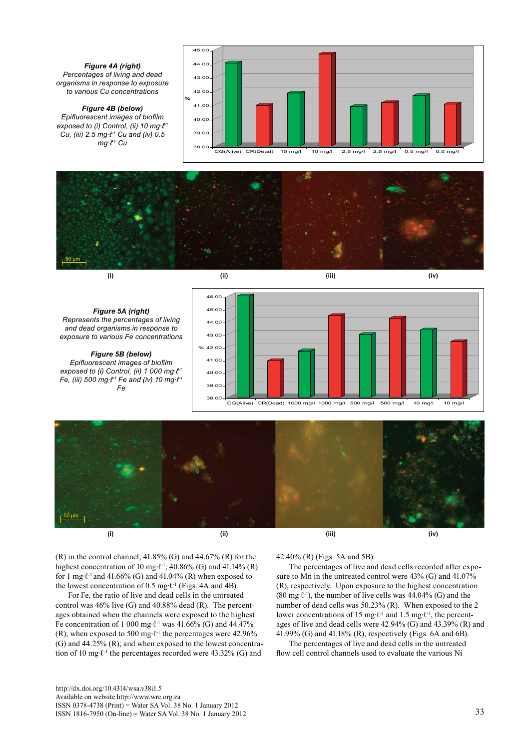



*Figure 5A (right) Represents the percentages of living and dead organisms in response to exposure to various Fe concentrations*

*Figure 5B (below) Epifluorescent images of biofilm exposed to (i) Control, (ii) 1 000 mg∙ℓ-1 Fe, (iii) 500 mg∙ℓ-1 Fe and (iv) 10 mg∙ℓ-1 Fe*





 $(R)$  in the control channel; 41.85%  $(G)$  and 44.67%  $(R)$  for the highest concentration of 10 mg⋅ $\ell$ <sup>-1</sup>; 40.86% (G) and 41.14% (R) for 1 mg⋅ $\ell$ <sup>-1</sup> and 41.66% (G) and 41.04% (R) when exposed to the lowest concentration of 0.5 mg⋅ $\ell$ <sup>-1</sup> (Figs. 4A and 4B).

For Fe, the ratio of live and dead cells in the untreated control was 46% live (G) and 40.88% dead (R). The percentages obtained when the channels were exposed to the highest Fe concentration of 1 000 mg⋅ $\ell$ <sup>-1</sup> was 41.66% (G) and 44.47% (R); when exposed to 500 mg⋅ $\ell$ <sup>-1</sup> the percentages were 42.96% (G) and 44.25% (R); and when exposed to the lowest concentration of 10 mg∙ℓ-1 the percentages recorded were 43.32% (G) and

#### 42.40% (R) (Figs. 5A and 5B).

The percentages of live and dead cells recorded after exposure to Mn in the untreated control were 43% (G) and 41.07% (R), respectively. Upon exposure to the highest concentration (80 mg∙ℓ-1), the number of live cells was 44.04% (G) and the number of dead cells was 50.23% (R). When exposed to the 2 lower concentrations of 15 mg∙ℓ-1 and 1.5 mg∙ℓ-1, the percentages of live and dead cells were 42.94% (G) and 43.39% (R) and 41.99% (G) and 41.18% (R), respectively (Figs. 6A and 6B).

The percentages of live and dead cells in the untreated flow cell control channels used to evaluate the various Ni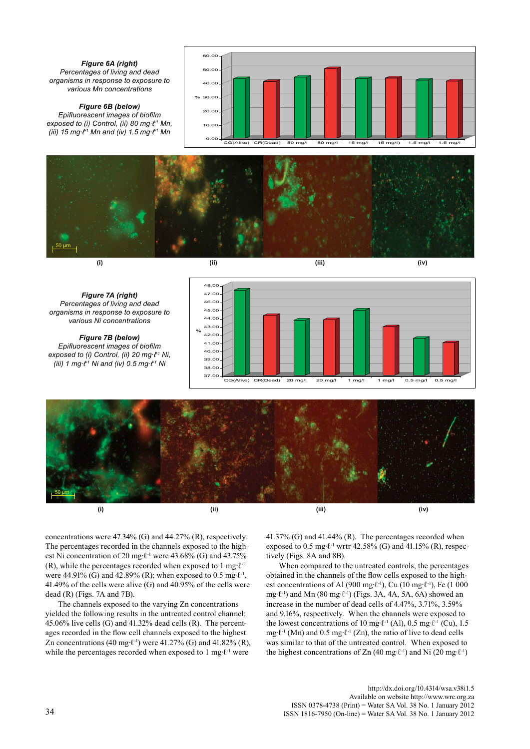

*Figure 6B (below) Epifluorescent images of biofilm exposed to (i) Control, (ii) 80 mg∙ℓ-1 Mn, (iii) 15 mg∙ℓ-1 Mn and (iv) 1.5 mg∙ℓ-1 Mn*









40.00 41.00  $42.00$ 43.00 44.00 45.00 46.00 47.00 48.00

**%**

*Figure 7A (right) Percentages of living and dead organisms in response to exposure to various Ni concentrations*

*Figure 7B (below) Epifluorescent images of biofilm exposed to (i) Control, (ii) 20 mg∙ℓ-1 Ni, (iii) 1 mg∙ℓ-1 Ni and (iv) 0.5 mg∙ℓ-1 Ni*



concentrations were 47.34% (G) and 44.27% (R), respectively. The percentages recorded in the channels exposed to the highest Ni concentration of 20 mg∙ℓ-1 were 43.68% (G) and 43.75% (R), while the percentages recorded when exposed to 1 mg⋅ $\ell$ <sup>-1</sup> were 44.91% (G) and 42.89% (R); when exposed to 0.5 mg⋅ $\ell$ <sup>-1</sup>, 41.49% of the cells were alive (G) and 40.95% of the cells were dead (R) (Figs. 7A and 7B).

The channels exposed to the varying Zn concentrations yielded the following results in the untreated control channel: 45.06% live cells (G) and 41.32% dead cells (R). The percentages recorded in the flow cell channels exposed to the highest Zn concentrations (40 mg⋅ $\ell$ <sup>-1</sup>) were 41.27% (G) and 41.82% (R), while the percentages recorded when exposed to 1 mg⋅ℓ<sup>-1</sup> were

41.37% (G) and 41.44% (R). The percentages recorded when exposed to 0.5 mg⋅ $\ell$ <sup>-1</sup> wrtr 42.58% (G) and 41.15% (R), respectively (Figs. 8A and 8B).

When compared to the untreated controls, the percentages obtained in the channels of the flow cells exposed to the highest concentrations of Al (900 mg⋅ℓ<sup>-1</sup>), Cu (10 mg⋅ℓ<sup>-1</sup>), Fe (1 000 mg∙ℓ-1) and Mn (80 mg∙ℓ-1) (Figs. 3A, 4A, 5A, 6A) showed an increase in the number of dead cells of 4.47%, 3.71%, 3.59% and 9.16%, respectively. When the channels were exposed to the lowest concentrations of 10 mg⋅ $\ell$ <sup>-1</sup> (Al), 0.5 mg⋅ $\ell$ <sup>-1</sup> (Cu), 1.5 mg∙ℓ-1 (Mn) and 0.5 mg∙ℓ-1 (Zn), the ratio of live to dead cells was similar to that of the untreated control. When exposed to the highest concentrations of Zn (40 mg⋅ $\ell$ <sup>-1</sup>) and Ni (20 mg⋅ $\ell$ <sup>-1</sup>)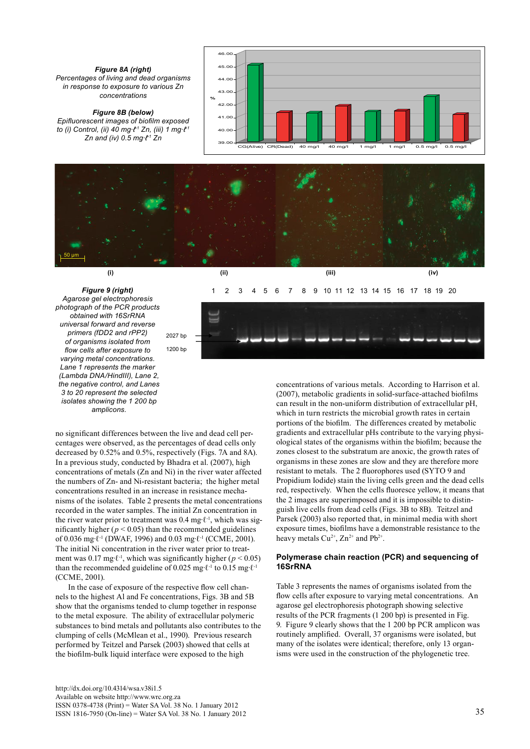*Figure 8A (right) Percentages of living and dead organisms in response to exposure to various Zn concentrations*

*Figure 8B (below) Epifluorescent images of biofilm exposed* 

39.00 40.0 41.00 42.00 43.00 44.00  $45.00$ **%**  $CG(Alive)$   $CR(Dead)$   $40$  mg/l  $'$   $40$  mg/l  $'$  1 mg/l  $'$  1 mg/l  $'$  0.5 mg/l  $'$  0.5 mg/l



46.00





1 2 3 4 5 6 7 8 9 10 11 12 13 14 15 16 17 18 19 20



no significant differences between the live and dead cell percentages were observed, as the percentages of dead cells only decreased by 0.52% and 0.5%, respectively (Figs. 7A and 8A). In a previous study, conducted by Bhadra et al. (2007), high concentrations of metals (Zn and Ni) in the river water affected the numbers of Zn- and Ni-resistant bacteria; the higher metal concentrations resulted in an increase in resistance mechanisms of the isolates. Table 2 presents the metal concentrations recorded in the water samples. The initial Zn concentration in the river water prior to treatment was 0.4 mg∙ℓ-1, which was significantly higher ( $p < 0.05$ ) than the recommended guidelines of 0.036 mg∙ℓ-1 (DWAF, 1996) and 0.03 mg∙ℓ-1 (CCME, 2001). The initial Ni concentration in the river water prior to treatment was 0.17 mg⋅ $\ell$ <sup>-1</sup>, which was significantly higher ( $p$  < 0.05) than the recommended guideline of 0.025 mg⋅ $\ell$ <sup>-1</sup> to 0.15 mg⋅ $\ell$ <sup>-1</sup> (CCME, 2001).

In the case of exposure of the respective flow cell channels to the highest Al and Fe concentrations, Figs. 3B and 5B show that the organisms tended to clump together in response to the metal exposure. The ability of extracellular polymeric substances to bind metals and pollutants also contributes to the clumping of cells (McMlean et al., 1990). Previous research performed by Teitzel and Parsek (2003) showed that cells at the biofilm-bulk liquid interface were exposed to the high

[http://dx.doi.org/10.4314/wsa.v38i1.5](http://dx.doi.org/10.4314/wsa.v37i4.18) Available on website http://www.wrc.org.za ISSN 0378-4738 (Print) = Water SA Vol. 38 No. 1 January 2012 ISSN 1816-7950 (On-line) = Water SA Vol. 38 No. 1 January 2012 35

concentrations of various metals. According to Harrison et al. (2007), metabolic gradients in solid-surface-attached biofilms can result in the non-uniform distribution of extracellular pH, which in turn restricts the microbial growth rates in certain portions of the biofilm. The differences created by metabolic gradients and extracellular pHs contribute to the varying physiological states of the organisms within the biofilm; because the zones closest to the substratum are anoxic, the growth rates of organisms in these zones are slow and they are therefore more resistant to metals. The 2 fluorophores used (SYTO 9 and Propidium Iodide) stain the living cells green and the dead cells red, respectively. When the cells fluoresce yellow, it means that the 2 images are superimposed and it is impossible to distinguish live cells from dead cells (Figs. 3B to 8B). Teitzel and Parsek (2003) also reported that, in minimal media with short exposure times, biofilms have a demonstrable resistance to the heavy metals  $Cu^{2+}$ ,  $Zn^{2+}$  and  $Pb^{2+}$ .

## **Polymerase chain reaction (PCR) and sequencing of 16SrRNA**

Table 3 represents the names of organisms isolated from the flow cells after exposure to varying metal concentrations. An agarose gel electrophoresis photograph showing selective results of the PCR fragments (1 200 bp) is presented in Fig. 9. Figure 9 clearly shows that the 1 200 bp PCR amplicon was routinely amplified. Overall, 37 organisms were isolated, but many of the isolates were identical; therefore, only 13 organisms were used in the construction of the phylogenetic tree.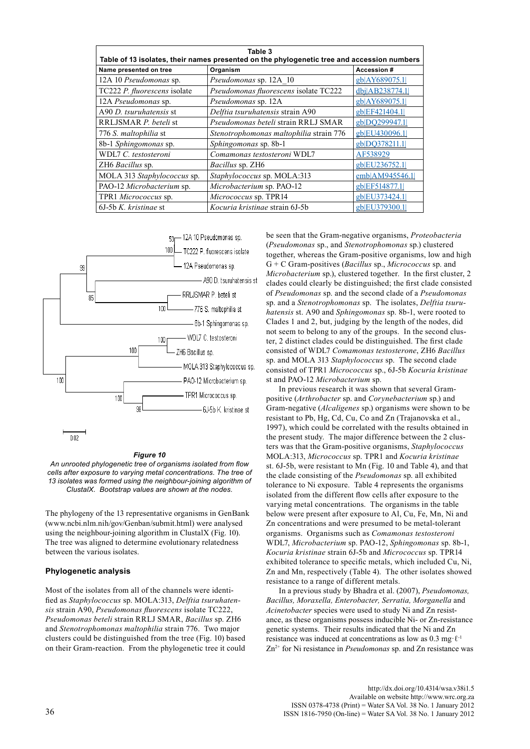| Table 3<br>Table of 13 isolates, their names presented on the phylogenetic tree and accession numbers |                                         |                |  |  |  |  |
|-------------------------------------------------------------------------------------------------------|-----------------------------------------|----------------|--|--|--|--|
| Name presented on tree                                                                                | Organism                                | Accession #    |  |  |  |  |
| 12A 10 Pseudomonas sp.                                                                                | Pseudomonas sp. 12A 10                  | gb AY689075.1  |  |  |  |  |
| TC222 P. fluorescens isolate                                                                          | Pseudomonas fluorescens isolate TC222   | dbj AB238774.1 |  |  |  |  |
| 12A Pseudomonas sp.                                                                                   | Pseudomonas sp. 12A                     | gb AY689075.1  |  |  |  |  |
| A90 D. tsuruhatensis st                                                                               | Delftia tsuruhatensis strain A90        | gb EF421404.1  |  |  |  |  |
| RRLJSMAR P. beteli st                                                                                 | Pseudomonas beteli strain RRLJ SMAR     | gb DO299947.1  |  |  |  |  |
| 776 S. maltophilia st                                                                                 | Stenotrophomonas maltophilia strain 776 | gb EU430096.1  |  |  |  |  |
| 8b-1 Sphingomonas sp.                                                                                 | Sphingomonas sp. 8b-1                   | gb DQ378211.1  |  |  |  |  |
| WDL7 C. testosteroni                                                                                  | Comamonas testosteroni WDL7             | AF538929       |  |  |  |  |
| ZH6 Bacillus sp.                                                                                      | <i>Bacillus</i> sp. ZH6                 | gb EU236752.1  |  |  |  |  |
| MOLA 313 Staphylococcus sp.                                                                           | Staphylococcus sp. MOLA:313             | emb AM945546.1 |  |  |  |  |
| PAO-12 Microbacterium sp.                                                                             | Microbacterium sp. PAO-12               | gb EF514877.1  |  |  |  |  |
| TPR1 Micrococcus sp.                                                                                  | Micrococcus sp. TPR14                   | gb EU373424.1  |  |  |  |  |
| $6J-5bK$ . kristinae st                                                                               | <i>Kocuria kristinae</i> strain 6J-5b   | gb EU379300.1  |  |  |  |  |



#### *Figure 10*

*An unrooted phylogenetic tree of organisms isolated from flow cells after exposure to varying metal concentrations. The tree of 13 isolates was formed using the neighbour-joining algorithm of ClustalX. Bootstrap values are shown at the nodes.*

The phylogeny of the 13 representative organisms in GenBank (www.ncbi.nlm.nih/gov/Genban/submit.html) were analysed using the neighbour-joining algorithm in ClustalX (Fig. 10). The tree was aligned to determine evolutionary relatedness between the various isolates.

#### **Phylogenetic analysis**

Most of the isolates from all of the channels were identified as *Staphylococcus* sp. MOLA:313, *Delftia tsuruhatensis* strain A90, *Pseudomonas fluorescens* isolate TC222, *Pseudomonas beteli* strain RRLJ SMAR, *Bacillus* sp. ZH6 and *Stenotrophomonas maltophilia* strain 776. Two major clusters could be distinguished from the tree (Fig. 10) based on their Gram-reaction. From the phylogenetic tree it could be seen that the Gram-negative organisms, *Proteobacteria* (*Pseudomonas* sp., and *Stenotrophomonas* sp.) clustered together, whereas the Gram-positive organisms, low and high G + C Gram-positives (*Bacillus* sp., *Micrococcus* sp. and *Microbacterium* sp.), clustered together. In the first cluster, 2 clades could clearly be distinguished; the first clade consisted of *Pseudomonas* sp. and the second clade of a *Pseudomonas* sp. and a *Stenotrophomonas* sp. The isolates, *Delftia tsuruhatensis* st. A90 and *Sphingomonas* sp. 8b-1, were rooted to Clades 1 and 2, but, judging by the length of the nodes, did not seem to belong to any of the groups. In the second cluster, 2 distinct clades could be distinguished. The first clade consisted of WDL7 *Comamonas testosterone*, ZH6 *Bacillus* sp. and MOLA 313 *Staphylococcus* sp. The second clade consisted of TPR1 *Micrococcus* sp., 6J-5b *Kocuria kristinae* st and PAO-12 *Microbacterium* sp.

In previous research it was shown that several Grampositive (*Arthrobacter* sp. and *Corynebacterium* sp.) and Gram-negative (*Alcaligenes* sp.) organisms were shown to be resistant to Pb, Hg, Cd, Cu, Co and Zn (Trajanovska et al., 1997), which could be correlated with the results obtained in the present study. The major difference between the 2 clusters was that the Gram-positive organisms, *Staphylococcus* MOLA:313, *Micrococcus* sp. TPR1 and *Kocuria kristinae* st. 6J-5b, were resistant to Mn (Fig. 10 and Table 4), and that the clade consisting of the *Pseudomonas* sp. all exhibited tolerance to Ni exposure. Table 4 represents the organisms isolated from the different flow cells after exposure to the varying metal concentrations. The organisms in the table below were present after exposure to Al, Cu, Fe, Mn, Ni and Zn concentrations and were presumed to be metal-tolerant organisms. Organisms such as *Comamonas testosteroni* WDL7, *Microbacterium* sp. PAO-12, *Sphingomonas* sp. 8b-1, *Kocuria kristinae* strain 6J-5b and *Micrococcus* sp. TPR14 exhibited tolerance to specific metals, which included Cu, Ni, Zn and Mn, respectively (Table 4). The other isolates showed resistance to a range of different metals.

In a previous study by Bhadra et al. (2007), *Pseudomonas, Bacillus, Moraxella, Enterobacter, Serratia, Morganella* and *Acinetobacter* species were used to study Ni and Zn resistance, as these organisms possess inducible Ni- or Zn-resistance genetic systems. Their results indicated that the Ni and Zn resistance was induced at concentrations as low as  $0.3 \text{ mg} \cdot \ell^{-1}$ Zn2+ for Ni resistance in *Pseudomonas* sp. and Zn resistance was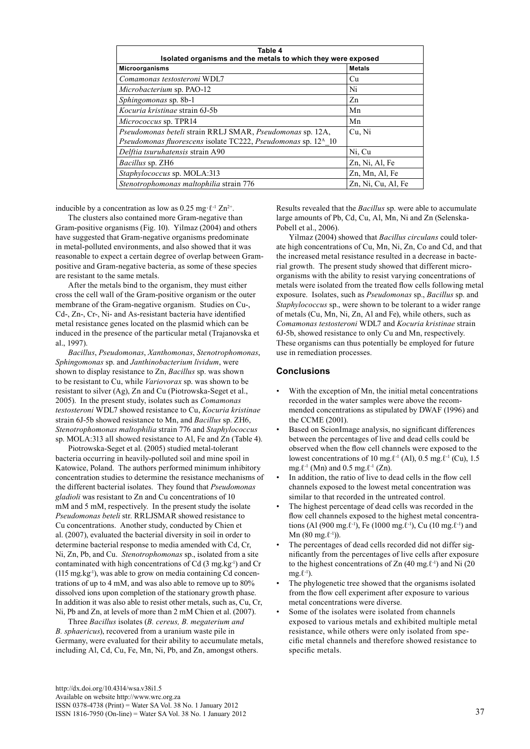| Table 4<br>Isolated organisms and the metals to which they were exposed   |                    |  |  |  |
|---------------------------------------------------------------------------|--------------------|--|--|--|
| <b>Microorganisms</b>                                                     | <b>Metals</b>      |  |  |  |
| Comamonas testosteroni WDL7                                               | Cu                 |  |  |  |
| Microbacterium sp. PAO-12                                                 | Ni                 |  |  |  |
| Sphingomonas sp. 8b-1                                                     | Zn                 |  |  |  |
| Kocuria kristinae strain 6J-5b                                            | Mn                 |  |  |  |
| Micrococcus sp. TPR14                                                     | Mn                 |  |  |  |
| Pseudomonas beteli strain RRLJ SMAR, Pseudomonas sp. 12A,                 | Cu, Ni             |  |  |  |
| Pseudomonas fluorescens isolate TC222, Pseudomonas sp. 12 <sup>A</sup> 10 |                    |  |  |  |
| Delftia tsuruhatensis strain A90                                          | Ni, Cu             |  |  |  |
| Bacillus sp. ZH6                                                          | Zn, Ni, Al, Fe     |  |  |  |
| Staphylococcus sp. MOLA:313                                               | Zn, Mn, Al, Fe     |  |  |  |
| Stenotrophomonas maltophilia strain 776                                   | Zn, Ni, Cu, Al, Fe |  |  |  |

inducible by a concentration as low as 0.25 mg· $\ell^{-1} Zn^{2+}$ .

The clusters also contained more Gram-negative than Gram-positive organisms (Fig. 10). Yilmaz (2004) and others have suggested that Gram-negative organisms predominate in metal-polluted environments, and also showed that it was reasonable to expect a certain degree of overlap between Grampositive and Gram-negative bacteria, as some of these species are resistant to the same metals.

After the metals bind to the organism, they must either cross the cell wall of the Gram-positive organism or the outer membrane of the Gram-negative organism. Studies on Cu-, Cd-, Zn-, Cr-, Ni- and As-resistant bacteria have identified metal resistance genes located on the plasmid which can be induced in the presence of the particular metal (Trajanovska et al., 1997).

*Bacillus*, *Pseudomonas*, *Xanthomonas*, *Stenotrophomonas*, *Sphingomonas* sp. and *Janthinobacterium lividum*, were shown to display resistance to Zn, *Bacillus* sp. was shown to be resistant to Cu, while *Variovorax* sp. was shown to be resistant to silver (Ag), Zn and Cu (Piotrowska-Seget et al., 2005). In the present study, isolates such as *Comamonas testosteroni* WDL7 showed resistance to Cu, *Kocuria kristinae* strain 6J-5b showed resistance to Mn, and *Bacillus* sp. ZH6, *Stenotrophomonas maltophilia* strain 776 and *Staphylococcus* sp. MOLA:313 all showed resistance to Al, Fe and Zn (Table 4).

Piotrowska-Seget et al. (2005) studied metal-tolerant bacteria occurring in heavily-polluted soil and mine spoil in Katowice, Poland. The authors performed minimum inhibitory concentration studies to determine the resistance mechanisms of the different bacterial isolates. They found that *Pseudomonas gladioli* was resistant to Zn and Cu concentrations of 10 mM and 5 mM, respectively. In the present study the isolate *Pseudomonas beteli* str. RRLJSMAR showed resistance to Cu concentrations. Another study, conducted by Chien et al. (2007), evaluated the bacterial diversity in soil in order to determine bacterial response to media amended with Cd, Cr, Ni, Zn, Pb, and Cu. *Stenotrophomonas* sp., isolated from a site contaminated with high concentrations of Cd  $(3 \text{ mg} \cdot \text{kg}^{-1})$  and Cr  $(115 \text{ mg} \cdot \text{kg}^{-1})$ , was able to grow on media containing Cd concentrations of up to 4 mM, and was also able to remove up to 80% dissolved ions upon completion of the stationary growth phase. In addition it was also able to resist other metals, such as, Cu, Cr, Ni, Pb and Zn, at levels of more than 2 mM Chien et al. (2007).

Three *Bacillus* isolates (*B. cereus, B. megaterium and B. sphaericus*), recovered from a uranium waste pile in Germany, were evaluated for their ability to accumulate metals, including Al, Cd, Cu, Fe, Mn, Ni, Pb, and Zn, amongst others.

Results revealed that the *Bacillus* sp. were able to accumulate large amounts of Pb, Cd, Cu, Al, Mn, Ni and Zn (Selenska-Pobell et al., 2006).

Yilmaz (2004) showed that *Bacillus circulans* could tolerate high concentrations of Cu, Mn, Ni, Zn, Co and Cd, and that the increased metal resistance resulted in a decrease in bacterial growth. The present study showed that different microorganisms with the ability to resist varying concentrations of metals were isolated from the treated flow cells following metal exposure. Isolates, such as *Pseudomonas* sp., *Bacillus* sp. and *Staphylococcus* sp., were shown to be tolerant to a wider range of metals (Cu, Mn, Ni, Zn, Al and Fe), while others, such as *Comamonas testosteroni* WDL7 and *Kocuria kristinae* strain 6J-5b, showed resistance to only Cu and Mn, respectively. These organisms can thus potentially be employed for future use in remediation processes.

## **Conclusions**

- With the exception of Mn, the initial metal concentrations recorded in the water samples were above the recommended concentrations as stipulated by DWAF (1996) and the CCME (2001).
- Based on ScionImage analysis, no significant differences between the percentages of live and dead cells could be observed when the flow cell channels were exposed to the lowest concentrations of 10 mg. $\ell$ <sup>-1</sup> (Al), 0.5 mg. $\ell$ <sup>-1</sup> (Cu), 1.5 mg. $\ell$ <sup>-1</sup> (Mn) and 0.5 mg. $\ell$ <sup>-1</sup> (Zn).
- In addition, the ratio of live to dead cells in the flow cell channels exposed to the lowest metal concentration was similar to that recorded in the untreated control.
- The highest percentage of dead cells was recorded in the flow cell channels exposed to the highest metal concentrations (Al (900 mg. $\ell$ <sup>-1</sup>), Fe (1000 mg. $\ell$ <sup>-1</sup>), Cu (10 mg. $\ell$ <sup>-1</sup>) and Mn  $(80 \text{ mg} \cdot \ell^{-1})$ ).
- The percentages of dead cells recorded did not differ significantly from the percentages of live cells after exposure to the highest concentrations of Zn  $(40 \text{ mg} \cdot \text{C}^{-1})$  and Ni  $(20 \text{ g} \cdot \text{C}^{-1})$  $mg.\ell^{-1}$ ).
- The phylogenetic tree showed that the organisms isolated from the flow cell experiment after exposure to various metal concentrations were diverse.
- Some of the isolates were isolated from channels exposed to various metals and exhibited multiple metal resistance, while others were only isolated from specific metal channels and therefore showed resistance to specific metals.